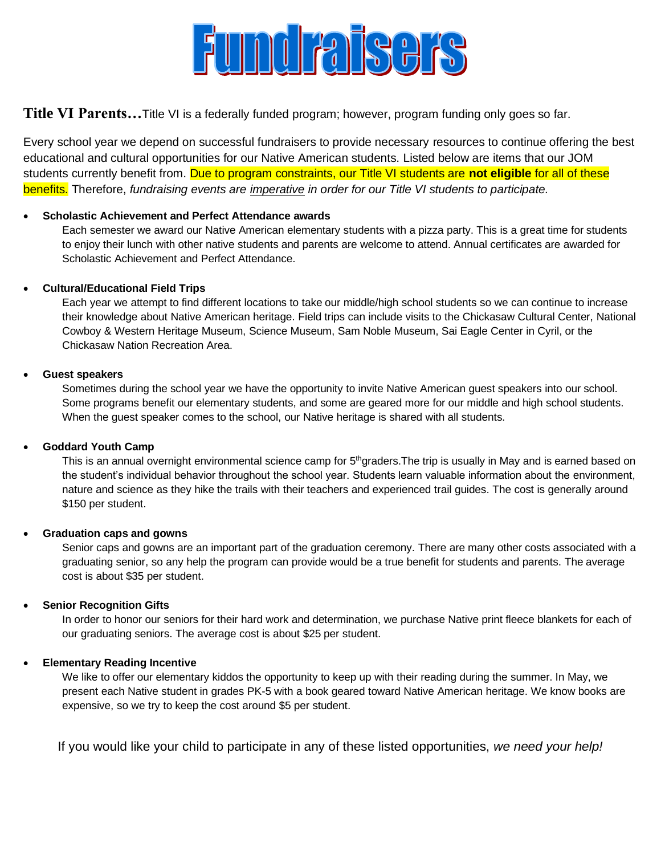

**Title VI Parents…**Title VI is a federally funded program; however, program funding only goes so far.

Every school year we depend on successful fundraisers to provide necessary resources to continue offering the best educational and cultural opportunities for our Native American students. Listed below are items that our JOM students currently benefit from. Due to program constraints, our Title VI students are **not eligible** for all of these benefits. Therefore, *fundraising events are imperative in order for our Title VI students to participate.*

## • **Scholastic Achievement and Perfect Attendance awards**

Each semester we award our Native American elementary students with a pizza party. This is a great time for students to enjoy their lunch with other native students and parents are welcome to attend. Annual certificates are awarded for Scholastic Achievement and Perfect Attendance.

## • **Cultural/Educational Field Trips**

Each year we attempt to find different locations to take our middle/high school students so we can continue to increase their knowledge about Native American heritage. Field trips can include visits to the Chickasaw Cultural Center, National Cowboy & Western Heritage Museum, Science Museum, Sam Noble Museum, Sai Eagle Center in Cyril, or the Chickasaw Nation Recreation Area.

## • **Guest speakers**

Sometimes during the school year we have the opportunity to invite Native American guest speakers into our school. Some programs benefit our elementary students, and some are geared more for our middle and high school students. When the guest speaker comes to the school, our Native heritage is shared with all students.

#### • **Goddard Youth Camp**

This is an annual overnight environmental science camp for 5<sup>th</sup>graders. The trip is usually in May and is earned based on the student's individual behavior throughout the school year. Students learn valuable information about the environment, nature and science as they hike the trails with their teachers and experienced trail guides. The cost is generally around \$150 per student.

#### • **Graduation caps and gowns**

Senior caps and gowns are an important part of the graduation ceremony. There are many other costs associated with a graduating senior, so any help the program can provide would be a true benefit for students and parents. The average cost is about \$35 per student.

# • **Senior Recognition Gifts**

In order to honor our seniors for their hard work and determination, we purchase Native print fleece blankets for each of our graduating seniors. The average cost is about \$25 per student.

#### • **Elementary Reading Incentive**

We like to offer our elementary kiddos the opportunity to keep up with their reading during the summer. In May, we present each Native student in grades PK-5 with a book geared toward Native American heritage. We know books are expensive, so we try to keep the cost around \$5 per student.

If you would like your child to participate in any of these listed opportunities, *we need your help!*